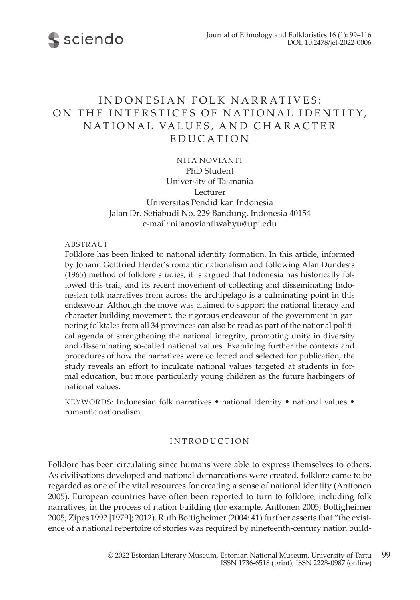

# INDONESIAN FOLK NARRATIVES: ON THE INTERSTICES OF NATIONAL IDENTITY, NATIONAL VALUES, AND CHARACTER EDUCATION

NITA NOVIANTI PhD Student University of Tasmania Lecturer Universitas Pendidikan Indonesia Jalan Dr. Setiabudi No. 229 Bandung, Indonesia 40154 e-mail: nitanoviantiwahyu@upi.edu

#### ABSTRACT

Folklore has been linked to national identity formation. In this article, informed by Johann Gottfried Herder's romantic nationalism and following Alan Dundes's (1965) method of folklore studies, it is argued that Indonesia has historically followed this trail, and its recent movement of collecting and disseminating Indonesian folk narratives from across the archipelago is a culminating point in this endeavour. Although the move was claimed to support the national literacy and character building movement, the rigorous endeavour of the government in garnering folktales from all 34 provinces can also be read as part of the national political agenda of strengthening the national integrity, promoting unity in diversity and disseminating so-called national values. Examining further the contexts and procedures of how the narratives were collected and selected for publication, the study reveals an effort to inculcate national values targeted at students in formal education, but more particularly young children as the future harbingers of national values.

KEYWORDS: Indonesian folk narratives • national identity • national values • romantic nationalism

# INTRODUCTION

Folklore has been circulating since humans were able to express themselves to others. As civilisations developed and national demarcations were created, folklore came to be regarded as one of the vital resources for creating a sense of national identity (Anttonen 2005). European countries have often been reported to turn to folklore, including folk narratives, in the process of nation building (for example, Anttonen 2005; Bottigheimer 2005; Zipes 1992 [1979]; 2012). Ruth Bottigheimer (2004: 41) further asserts that "the existence of a national repertoire of stories was required by nineteenth-century nation build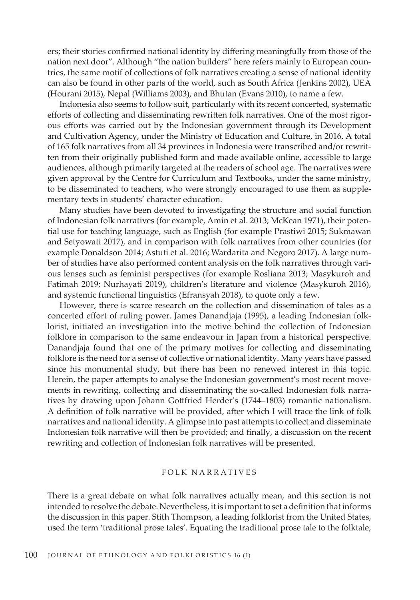ers; their stories confirmed national identity by differing meaningfully from those of the nation next door". Although "the nation builders" here refers mainly to European countries, the same motif of collections of folk narratives creating a sense of national identity can also be found in other parts of the world, such as South Africa (Jenkins 2002), UEA (Hourani 2015), Nepal (Williams 2003), and Bhutan (Evans 2010), to name a few.

Indonesia also seems to follow suit, particularly with its recent concerted, systematic efforts of collecting and disseminating rewritten folk narratives. One of the most rigorous efforts was carried out by the Indonesian government through its Development and Cultivation Agency, under the Ministry of Education and Culture, in 2016. A total of 165 folk narratives from all 34 provinces in Indonesia were transcribed and/or rewritten from their originally published form and made available online, accessible to large audiences, although primarily targeted at the readers of school age. The narratives were given approval by the Centre for Curriculum and Textbooks, under the same ministry, to be disseminated to teachers, who were strongly encouraged to use them as supplementary texts in students' character education.

Many studies have been devoted to investigating the structure and social function of Indonesian folk narratives (for example, Amin et al. 2013; McKean 1971), their potential use for teaching language, such as English (for example Prastiwi 2015; Sukmawan and Setyowati 2017), and in comparison with folk narratives from other countries (for example Donaldson 2014; Astuti et al. 2016; Wardarita and Negoro 2017). A large number of studies have also performed content analysis on the folk narratives through various lenses such as feminist perspectives (for example Rosliana 2013; Masykuroh and Fatimah 2019; Nurhayati 2019), children's literature and violence (Masykuroh 2016), and systemic functional linguistics (Efransyah 2018), to quote only a few.

However, there is scarce research on the collection and dissemination of tales as a concerted effort of ruling power. James Danandjaja (1995), a leading Indonesian folklorist, initiated an investigation into the motive behind the collection of Indonesian folklore in comparison to the same endeavour in Japan from a historical perspective. Danandjaja found that one of the primary motives for collecting and disseminating folklore is the need for a sense of collective or national identity. Many years have passed since his monumental study, but there has been no renewed interest in this topic. Herein, the paper attempts to analyse the Indonesian government's most recent movements in rewriting, collecting and disseminating the so-called Indonesian folk narratives by drawing upon Johann Gottfried Herder's (1744–1803) romantic nationalism. A definition of folk narrative will be provided, after which I will trace the link of folk narratives and national identity. A glimpse into past attempts to collect and disseminate Indonesian folk narrative will then be provided; and finally, a discussion on the recent rewriting and collection of Indonesian folk narratives will be presented.

# FOLK NA R R AT I V ES

There is a great debate on what folk narratives actually mean, and this section is not intended to resolve the debate. Nevertheless, it is important to set a definition that informs the discussion in this paper. Stith Thompson, a leading folklorist from the United States, used the term 'traditional prose tales'. Equating the traditional prose tale to the folktale,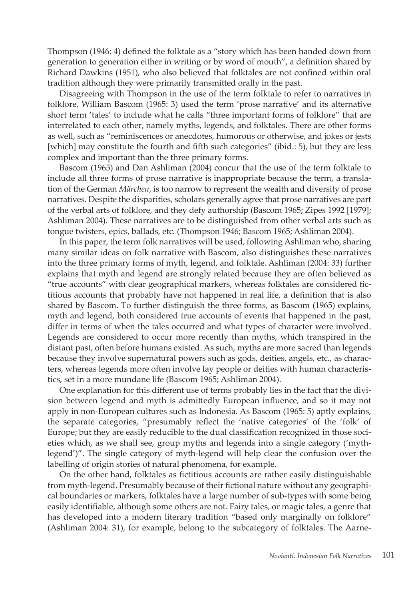Thompson (1946: 4) defined the folktale as a "story which has been handed down from generation to generation either in writing or by word of mouth", a definition shared by Richard Dawkins (1951), who also believed that folktales are not confined within oral tradition although they were primarily transmitted orally in the past.

Disagreeing with Thompson in the use of the term folktale to refer to narratives in folklore, William Bascom (1965: 3) used the term 'prose narrative' and its alternative short term 'tales' to include what he calls "three important forms of folklore" that are interrelated to each other, namely myths, legends, and folktales. There are other forms as well, such as "reminiscences or anecdotes, humorous or otherwise, and jokes or jests [which] may constitute the fourth and fifth such categories" (ibid.: 5), but they are less complex and important than the three primary forms.

Bascom (1965) and Dan Ashliman (2004) concur that the use of the term folktale to include all three forms of prose narrative is inappropriate because the term, a translation of the German *Märchen*, is too narrow to represent the wealth and diversity of prose narratives. Despite the disparities, scholars generally agree that prose narratives are part of the verbal arts of folklore, and they defy authorship (Bascom 1965; Zipes 1992 [1979]; Ashliman 2004). These narratives are to be distinguished from other verbal arts such as tongue twisters, epics, ballads, etc. (Thompson 1946; Bascom 1965; Ashliman 2004).

In this paper, the term folk narratives will be used, following Ashliman who, sharing many similar ideas on folk narrative with Bascom, also distinguishes these narratives into the three primary forms of myth, legend, and folktale. Ashliman (2004: 33) further explains that myth and legend are strongly related because they are often believed as "true accounts" with clear geographical markers, whereas folktales are considered fictitious accounts that probably have not happened in real life, a definition that is also shared by Bascom. To further distinguish the three forms, as Bascom (1965) explains, myth and legend, both considered true accounts of events that happened in the past, differ in terms of when the tales occurred and what types of character were involved. Legends are considered to occur more recently than myths, which transpired in the distant past, often before humans existed. As such, myths are more sacred than legends because they involve supernatural powers such as gods, deities, angels, etc., as characters, whereas legends more often involve lay people or deities with human characteristics, set in a more mundane life (Bascom 1965; Ashliman 2004).

One explanation for this different use of terms probably lies in the fact that the division between legend and myth is admittedly European influence, and so it may not apply in non-European cultures such as Indonesia. As Bascom (1965: 5) aptly explains, the separate categories, "presumably reflect the 'native categories' of the 'folk' of Europe; but they are easily reducible to the dual classification recognized in those societies which, as we shall see, group myths and legends into a single category ('mythlegend')". The single category of myth-legend will help clear the confusion over the labelling of origin stories of natural phenomena, for example.

On the other hand, folktales as fictitious accounts are rather easily distinguishable from myth-legend. Presumably because of their fictional nature without any geographical boundaries or markers, folktales have a large number of sub-types with some being easily identifiable, although some others are not. Fairy tales, or magic tales, a genre that has developed into a modern literary tradition "based only marginally on folklore" (Ashliman 2004: 31), for example, belong to the subcategory of folktales. The Aarne-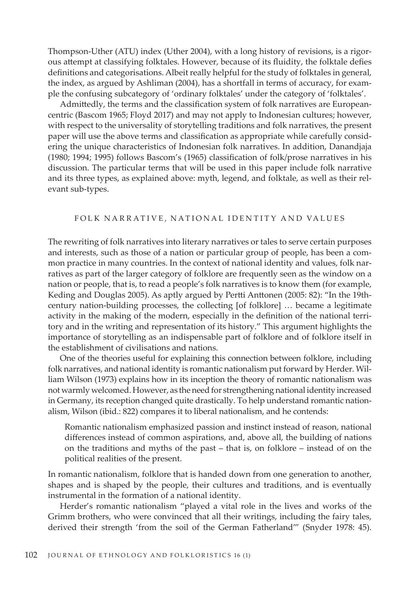Thompson-Uther (ATU) index (Uther 2004), with a long history of revisions, is a rigorous attempt at classifying folktales. However, because of its fluidity, the folktale defies definitions and categorisations. Albeit really helpful for the study of folktales in general, the index, as argued by Ashliman (2004), has a shortfall in terms of accuracy, for example the confusing subcategory of 'ordinary folktales' under the category of 'folktales'.

Admittedly, the terms and the classification system of folk narratives are Europeancentric (Bascom 1965; Floyd 2017) and may not apply to Indonesian cultures; however, with respect to the universality of storytelling traditions and folk narratives, the present paper will use the above terms and classification as appropriate while carefully considering the unique characteristics of Indonesian folk narratives. In addition, Danandjaja (1980; 1994; 1995) follows Bascom's (1965) classification of folk/prose narratives in his discussion. The particular terms that will be used in this paper include folk narrative and its three types, as explained above: myth, legend, and folktale, as well as their relevant sub-types.

# FOLK NARRATIVE, NATIONAL IDENTITY AND VALUES

The rewriting of folk narratives into literary narratives or tales to serve certain purposes and interests, such as those of a nation or particular group of people, has been a common practice in many countries. In the context of national identity and values, folk narratives as part of the larger category of folklore are frequently seen as the window on a nation or people, that is, to read a people's folk narratives is to know them (for example, Keding and Douglas 2005). As aptly argued by Pertti Anttonen (2005: 82): "In the 19thcentury nation-building processes, the collecting [of folklore] … became a legitimate activity in the making of the modern, especially in the definition of the national territory and in the writing and representation of its history." This argument highlights the importance of storytelling as an indispensable part of folklore and of folklore itself in the establishment of civilisations and nations.

One of the theories useful for explaining this connection between folklore, including folk narratives, and national identity is romantic nationalism put forward by Herder. William Wilson (1973) explains how in its inception the theory of romantic nationalism was not warmly welcomed. However, as the need for strengthening national identity increased in Germany, its reception changed quite drastically. To help understand romantic nationalism, Wilson (ibid.: 822) compares it to liberal nationalism, and he contends:

Romantic nationalism emphasized passion and instinct instead of reason, national differences instead of common aspirations, and, above all, the building of nations on the traditions and myths of the past – that is, on folklore – instead of on the political realities of the present.

In romantic nationalism, folklore that is handed down from one generation to another, shapes and is shaped by the people, their cultures and traditions, and is eventually instrumental in the formation of a national identity.

Herder's romantic nationalism "played a vital role in the lives and works of the Grimm brothers, who were convinced that all their writings, including the fairy tales, derived their strength 'from the soil of the German Fatherland'" (Snyder 1978: 45).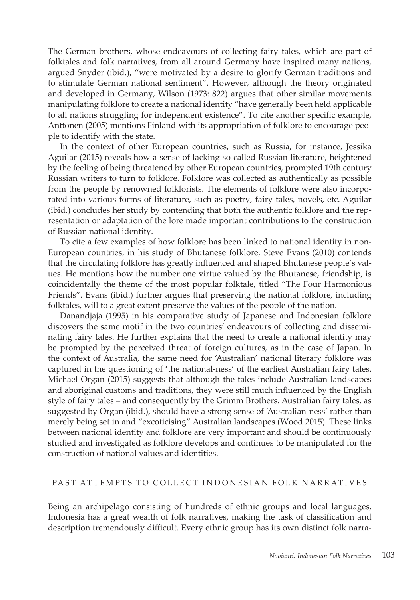The German brothers, whose endeavours of collecting fairy tales, which are part of folktales and folk narratives, from all around Germany have inspired many nations, argued Snyder (ibid.), "were motivated by a desire to glorify German traditions and to stimulate German national sentiment". However, although the theory originated and developed in Germany, Wilson (1973: 822) argues that other similar movements manipulating folklore to create a national identity "have generally been held applicable to all nations struggling for independent existence". To cite another specific example, Anttonen (2005) mentions Finland with its appropriation of folklore to encourage people to identify with the state.

In the context of other European countries, such as Russia, for instance, Jessika Aguilar (2015) reveals how a sense of lacking so-called Russian literature, heightened by the feeling of being threatened by other European countries, prompted 19th century Russian writers to turn to folklore. Folklore was collected as authentically as possible from the people by renowned folklorists. The elements of folklore were also incorporated into various forms of literature, such as poetry, fairy tales, novels, etc. Aguilar (ibid.) concludes her study by contending that both the authentic folklore and the representation or adaptation of the lore made important contributions to the construction of Russian national identity.

To cite a few examples of how folklore has been linked to national identity in non-European countries, in his study of Bhutanese folklore, Steve Evans (2010) contends that the circulating folklore has greatly influenced and shaped Bhutanese people's values. He mentions how the number one virtue valued by the Bhutanese, friendship, is coincidentally the theme of the most popular folktale, titled "The Four Harmonious Friends". Evans (ibid.) further argues that preserving the national folklore, including folktales, will to a great extent preserve the values of the people of the nation.

Danandjaja (1995) in his comparative study of Japanese and Indonesian folklore discovers the same motif in the two countries' endeavours of collecting and disseminating fairy tales. He further explains that the need to create a national identity may be prompted by the perceived threat of foreign cultures, as in the case of Japan. In the context of Australia, the same need for 'Australian' national literary folklore was captured in the questioning of 'the national-ness' of the earliest Australian fairy tales. Michael Organ (2015) suggests that although the tales include Australian landscapes and aboriginal customs and traditions, they were still much influenced by the English style of fairy tales – and consequently by the Grimm Brothers. Australian fairy tales, as suggested by Organ (ibid.), should have a strong sense of 'Australian-ness' rather than merely being set in and "excoticising" Australian landscapes (Wood 2015). These links between national identity and folklore are very important and should be continuously studied and investigated as folklore develops and continues to be manipulated for the construction of national values and identities.

# PAST ATTEMPTS TO COLLECT INDONESIAN FOLK NARRATIVES

Being an archipelago consisting of hundreds of ethnic groups and local languages, Indonesia has a great wealth of folk narratives, making the task of classification and description tremendously difficult. Every ethnic group has its own distinct folk narra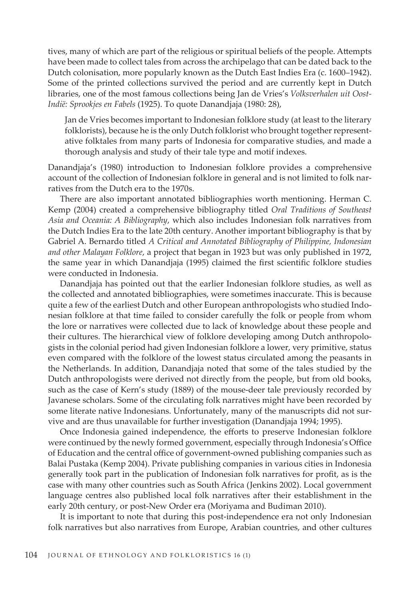tives, many of which are part of the religious or spiritual beliefs of the people. Attempts have been made to collect tales from across the archipelago that can be dated back to the Dutch colonisation, more popularly known as the Dutch East Indies Era (c. 1600–1942). Some of the printed collections survived the period and are currently kept in Dutch libraries, one of the most famous collections being Jan de Vries's *Volksverhalen uit Oost-Indië: Sprookjes en Fabels* (1925). To quote Danandjaja (1980: 28),

Jan de Vries becomes important to Indonesian folklore study (at least to the literary folklorists), because he is the only Dutch folklorist who brought together representative folktales from many parts of Indonesia for comparative studies, and made a thorough analysis and study of their tale type and motif indexes.

Danandjaja's (1980) introduction to Indonesian folklore provides a comprehensive account of the collection of Indonesian folklore in general and is not limited to folk narratives from the Dutch era to the 1970s.

There are also important annotated bibliographies worth mentioning. Herman C. Kemp (2004) created a comprehensive bibliography titled *Oral Traditions of Southeast Asia and Oceania: A Bibliography*, which also includes Indonesian folk narratives from the Dutch Indies Era to the late 20th century. Another important bibliography is that by Gabriel A. Bernardo titled *A Critical and Annotated Bibliography of Philippine, Indonesian and other Malayan Folklore*, a project that began in 1923 but was only published in 1972, the same year in which Danandjaja (1995) claimed the first scientific folklore studies were conducted in Indonesia.

Danandjaja has pointed out that the earlier Indonesian folklore studies, as well as the collected and annotated bibliographies, were sometimes inaccurate. This is because quite a few of the earliest Dutch and other European anthropologists who studied Indonesian folklore at that time failed to consider carefully the folk or people from whom the lore or narratives were collected due to lack of knowledge about these people and their cultures. The hierarchical view of folklore developing among Dutch anthropologists in the colonial period had given Indonesian folklore a lower, very primitive, status even compared with the folklore of the lowest status circulated among the peasants in the Netherlands. In addition, Danandjaja noted that some of the tales studied by the Dutch anthropologists were derived not directly from the people, but from old books, such as the case of Kern's study (1889) of the mouse-deer tale previously recorded by Javanese scholars. Some of the circulating folk narratives might have been recorded by some literate native Indonesians. Unfortunately, many of the manuscripts did not survive and are thus unavailable for further investigation (Danandjaja 1994; 1995).

Once Indonesia gained independence, the efforts to preserve Indonesian folklore were continued by the newly formed government, especially through Indonesia's Office of Education and the central office of government-owned publishing companies such as Balai Pustaka (Kemp 2004). Private publishing companies in various cities in Indonesia generally took part in the publication of Indonesian folk narratives for profit, as is the case with many other countries such as South Africa (Jenkins 2002). Local government language centres also published local folk narratives after their establishment in the early 20th century, or post-New Order era (Moriyama and Budiman 2010).

It is important to note that during this post-independence era not only Indonesian folk narratives but also narratives from Europe, Arabian countries, and other cultures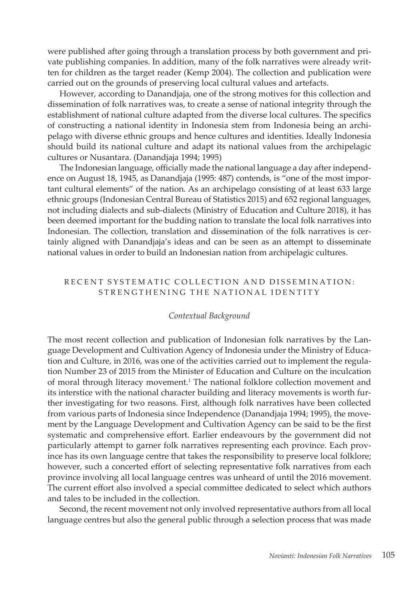were published after going through a translation process by both government and private publishing companies. In addition, many of the folk narratives were already written for children as the target reader (Kemp 2004). The collection and publication were carried out on the grounds of preserving local cultural values and artefacts.

However, according to Danandjaja, one of the strong motives for this collection and dissemination of folk narratives was, to create a sense of national integrity through the establishment of national culture adapted from the diverse local cultures. The specifics of constructing a national identity in Indonesia stem from Indonesia being an archipelago with diverse ethnic groups and hence cultures and identities. Ideally Indonesia should build its national culture and adapt its national values from the archipelagic cultures or Nusantara. (Danandjaja 1994; 1995)

The Indonesian language, officially made the national language a day after independence on August 18, 1945, as Danandjaja (1995: 487) contends, is "one of the most important cultural elements" of the nation. As an archipelago consisting of at least 633 large ethnic groups (Indonesian Central Bureau of Statistics 2015) and 652 regional languages, not including dialects and sub-dialects (Ministry of Education and Culture 2018), it has been deemed important for the budding nation to translate the local folk narratives into Indonesian. The collection, translation and dissemination of the folk narratives is certainly aligned with Danandjaja's ideas and can be seen as an attempt to disseminate national values in order to build an Indonesian nation from archipelagic cultures.

# RECENT SYSTEMATIC COLLECTION AND DISSEMINATION: STRENGTHENING THE NATIONAL IDENTITY

#### *Contextual Background*

The most recent collection and publication of Indonesian folk narratives by the Language Development and Cultivation Agency of Indonesia under the Ministry of Education and Culture, in 2016, was one of the activities carried out to implement the regulation Number 23 of 2015 from the Minister of Education and Culture on the inculcation of moral through literacy movement.1 The national folklore collection movement and its interstice with the national character building and literacy movements is worth further investigating for two reasons. First, although folk narratives have been collected from various parts of Indonesia since Independence (Danandjaja 1994; 1995), the movement by the Language Development and Cultivation Agency can be said to be the first systematic and comprehensive effort. Earlier endeavours by the government did not particularly attempt to garner folk narratives representing each province. Each province has its own language centre that takes the responsibility to preserve local folklore; however, such a concerted effort of selecting representative folk narratives from each province involving all local language centres was unheard of until the 2016 movement. The current effort also involved a special committee dedicated to select which authors and tales to be included in the collection.

Second, the recent movement not only involved representative authors from all local language centres but also the general public through a selection process that was made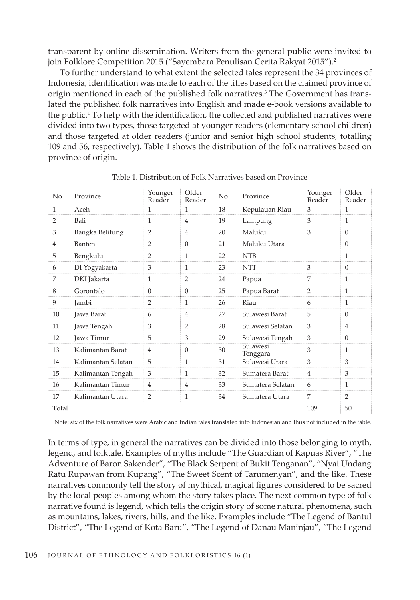transparent by online dissemination. Writers from the general public were invited to join Folklore Competition 2015 ("Sayembara Penulisan Cerita Rakyat 2015").<sup>2</sup>

To further understand to what extent the selected tales represent the 34 provinces of Indonesia, identification was made to each of the titles based on the claimed province of origin mentioned in each of the published folk narratives.3 The Government has translated the published folk narratives into English and made e-book versions available to the public.4 To help with the identification, the collected and published narratives were divided into two types, those targeted at younger readers (elementary school children) and those targeted at older readers (junior and senior high school students, totalling 109 and 56, respectively). Table 1 shows the distribution of the folk narratives based on province of origin.

| No             | Province           | Younger<br>Reader | Older<br>Reader | No | Province                    | Younger<br>Reader | Older<br>Reader |
|----------------|--------------------|-------------------|-----------------|----|-----------------------------|-------------------|-----------------|
| $\mathbf{1}$   | Aceh               | 1                 | $\mathbf{1}$    | 18 | Kepulauan Riau              | 3                 | $\mathbf{1}$    |
| 2              | Bali               | 1                 | $\overline{4}$  | 19 | Lampung                     | 3                 | $\mathbf{1}$    |
| 3              | Bangka Belitung    | $\overline{2}$    | $\overline{4}$  | 20 | Maluku                      | 3                 | $\Omega$        |
| $\overline{4}$ | Banten             | $\overline{2}$    | $\mathbf{0}$    | 21 | Maluku Utara                | 1                 | $\Omega$        |
| 5              | Bengkulu           | 2                 | $\mathbf{1}$    | 22 | <b>NTB</b>                  | 1                 | $\mathbf{1}$    |
| 6              | DI Yogyakarta      | 3                 | $\mathbf{1}$    | 23 | <b>NTT</b>                  | 3                 | $\Omega$        |
| $\overline{7}$ | DKI Jakarta        | $\mathbf{1}$      | $\overline{2}$  | 24 | Papua                       | 7                 | $\mathbf{1}$    |
| 8              | Gorontalo          | $\Omega$          | $\Omega$        | 25 | Papua Barat                 | $\overline{2}$    | $\mathbf{1}$    |
| 9              | Jambi              | $\overline{2}$    | 1               | 26 | Riau                        | 6                 | $\mathbf{1}$    |
| 10             | Jawa Barat         | 6                 | $\overline{4}$  | 27 | Sulawesi Barat              | 5                 | $\Omega$        |
| 11             | Jawa Tengah        | 3                 | $\overline{2}$  | 28 | Sulawesi Selatan            | 3                 | $\overline{4}$  |
| 12             | Jawa Timur         | 5                 | 3               | 29 | Sulawesi Tengah             | 3                 | $\overline{0}$  |
| 13             | Kalimantan Barat   | $\overline{4}$    | $\overline{0}$  | 30 | Sulawesi<br><b>Tenggara</b> | 3                 | $\mathbf{1}$    |
| 14             | Kalimantan Selatan | 5                 | $\mathbf{1}$    | 31 | Sulawesi Utara              | 3                 | 3               |
| 15             | Kalimantan Tengah  | 3                 | $\mathbf{1}$    | 32 | Sumatera Barat              | $\overline{4}$    | 3               |
| 16             | Kalimantan Timur   | $\overline{4}$    | $\overline{4}$  | 33 | Sumatera Selatan            | 6                 | $\mathbf{1}$    |
| 17             | Kalimantan Utara   | $\overline{2}$    | $\mathbf{1}$    | 34 | Sumatera Utara              | 7                 | $\overline{2}$  |
| Total          |                    |                   |                 |    |                             | 109               | 50              |

Table 1. Distribution of Folk Narratives based on Province

Note: six of the folk narratives were Arabic and Indian tales translated into Indonesian and thus not included in the table.

In terms of type, in general the narratives can be divided into those belonging to myth, legend, and folktale. Examples of myths include "The Guardian of Kapuas River", "The Adventure of Baron Sakender", "The Black Serpent of Bukit Tenganan", "Nyai Undang Ratu Rupawan from Kupang", "The Sweet Scent of Tarumenyan", and the like. These narratives commonly tell the story of mythical, magical figures considered to be sacred by the local peoples among whom the story takes place. The next common type of folk narrative found is legend, which tells the origin story of some natural phenomena, such as mountains, lakes, rivers, hills, and the like. Examples include "The Legend of Bantul District", "The Legend of Kota Baru", "The Legend of Danau Maninjau", "The Legend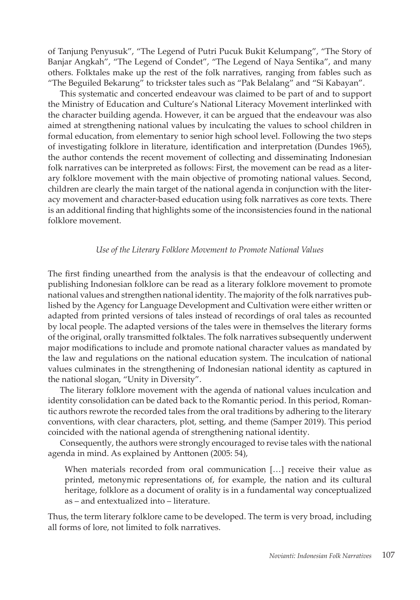of Tanjung Penyusuk", "The Legend of Putri Pucuk Bukit Kelumpang", "The Story of Banjar Angkah", "The Legend of Condet", "The Legend of Naya Sentika", and many others. Folktales make up the rest of the folk narratives, ranging from fables such as "The Beguiled Bekarung" to trickster tales such as "Pak Belalang" and "Si Kabayan".

This systematic and concerted endeavour was claimed to be part of and to support the Ministry of Education and Culture's National Literacy Movement interlinked with the character building agenda. However, it can be argued that the endeavour was also aimed at strengthening national values by inculcating the values to school children in formal education, from elementary to senior high school level. Following the two steps of investigating folklore in literature, identification and interpretation (Dundes 1965), the author contends the recent movement of collecting and disseminating Indonesian folk narratives can be interpreted as follows: First, the movement can be read as a literary folklore movement with the main objective of promoting national values. Second, children are clearly the main target of the national agenda in conjunction with the literacy movement and character-based education using folk narratives as core texts. There is an additional finding that highlights some of the inconsistencies found in the national folklore movement.

# *Use of the Literary Folklore Movement to Promote National Values*

The first finding unearthed from the analysis is that the endeavour of collecting and publishing Indonesian folklore can be read as a literary folklore movement to promote national values and strengthen national identity. The majority of the folk narratives published by the Agency for Language Development and Cultivation were either written or adapted from printed versions of tales instead of recordings of oral tales as recounted by local people. The adapted versions of the tales were in themselves the literary forms of the original, orally transmitted folktales. The folk narratives subsequently underwent major modifications to include and promote national character values as mandated by the law and regulations on the national education system. The inculcation of national values culminates in the strengthening of Indonesian national identity as captured in the national slogan, "Unity in Diversity".

The literary folklore movement with the agenda of national values inculcation and identity consolidation can be dated back to the Romantic period. In this period, Romantic authors rewrote the recorded tales from the oral traditions by adhering to the literary conventions, with clear characters, plot, setting, and theme (Samper 2019). This period coincided with the national agenda of strengthening national identity.

Consequently, the authors were strongly encouraged to revise tales with the national agenda in mind. As explained by Anttonen (2005: 54),

When materials recorded from oral communication […] receive their value as printed, metonymic representations of, for example, the nation and its cultural heritage, folklore as a document of orality is in a fundamental way conceptualized as – and entextualized into – literature.

Thus, the term literary folklore came to be developed. The term is very broad, including all forms of lore, not limited to folk narratives.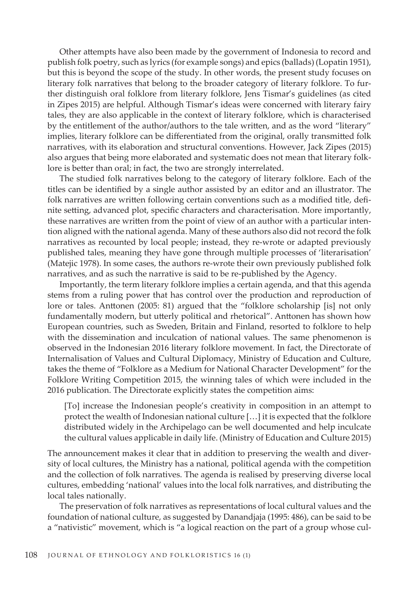Other attempts have also been made by the government of Indonesia to record and publish folk poetry, such as lyrics (for example songs) and epics (ballads) (Lopatin 1951), but this is beyond the scope of the study. In other words, the present study focuses on literary folk narratives that belong to the broader category of literary folklore. To further distinguish oral folklore from literary folklore, Jens Tismar's guidelines (as cited in Zipes 2015) are helpful. Although Tismar's ideas were concerned with literary fairy tales, they are also applicable in the context of literary folklore, which is characterised by the entitlement of the author/authors to the tale written, and as the word "literary" implies, literary folklore can be differentiated from the original, orally transmitted folk narratives, with its elaboration and structural conventions. However, Jack Zipes (2015) also argues that being more elaborated and systematic does not mean that literary folklore is better than oral; in fact, the two are strongly interrelated.

The studied folk narratives belong to the category of literary folklore. Each of the titles can be identified by a single author assisted by an editor and an illustrator. The folk narratives are written following certain conventions such as a modified title, definite setting, advanced plot, specific characters and characterisation. More importantly, these narratives are written from the point of view of an author with a particular intention aligned with the national agenda. Many of these authors also did not record the folk narratives as recounted by local people; instead, they re-wrote or adapted previously published tales, meaning they have gone through multiple processes of 'literarisation' (Matejic 1978). In some cases, the authors re-wrote their own previously published folk narratives, and as such the narrative is said to be re-published by the Agency.

Importantly, the term literary folklore implies a certain agenda, and that this agenda stems from a ruling power that has control over the production and reproduction of lore or tales. Anttonen (2005: 81) argued that the "folklore scholarship [is] not only fundamentally modern, but utterly political and rhetorical". Anttonen has shown how European countries, such as Sweden, Britain and Finland, resorted to folklore to help with the dissemination and inculcation of national values. The same phenomenon is observed in the Indonesian 2016 literary folklore movement. In fact, the Directorate of Internalisation of Values and Cultural Diplomacy, Ministry of Education and Culture, takes the theme of "Folklore as a Medium for National Character Development" for the Folklore Writing Competition 2015, the winning tales of which were included in the 2016 publication. The Directorate explicitly states the competition aims:

[To] increase the Indonesian people's creativity in composition in an attempt to protect the wealth of Indonesian national culture […] it is expected that the folklore distributed widely in the Archipelago can be well documented and help inculcate the cultural values applicable in daily life. (Ministry of Education and Culture 2015)

The announcement makes it clear that in addition to preserving the wealth and diversity of local cultures, the Ministry has a national, political agenda with the competition and the collection of folk narratives. The agenda is realised by preserving diverse local cultures, embedding 'national' values into the local folk narratives, and distributing the local tales nationally.

The preservation of folk narratives as representations of local cultural values and the foundation of national culture, as suggested by Danandjaja (1995: 486), can be said to be a "nativistic" movement, which is "a logical reaction on the part of a group whose cul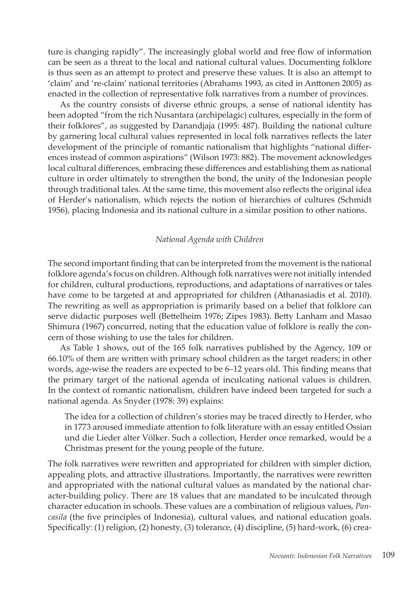ture is changing rapidly". The increasingly global world and free flow of information can be seen as a threat to the local and national cultural values. Documenting folklore is thus seen as an attempt to protect and preserve these values. It is also an attempt to 'claim' and 're-claim' national territories (Abrahams 1993, as cited in Anttonen 2005) as enacted in the collection of representative folk narratives from a number of provinces.

As the country consists of diverse ethnic groups, a sense of national identity has been adopted "from the rich Nusantara (archipelagic) cultures, especially in the form of their folklores", as suggested by Danandjaja (1995: 487). Building the national culture by garnering local cultural values represented in local folk narratives reflects the later development of the principle of romantic nationalism that highlights "national differences instead of common aspirations" (Wilson 1973: 882). The movement acknowledges local cultural differences, embracing these differences and establishing them as national culture in order ultimately to strengthen the bond, the unity of the Indonesian people through traditional tales. At the same time, this movement also reflects the original idea of Herder's nationalism, which rejects the notion of hierarchies of cultures (Schmidt 1956), placing Indonesia and its national culture in a similar position to other nations.

# *National Agenda with Children*

The second important finding that can be interpreted from the movement is the national folklore agenda's focus on children. Although folk narratives were not initially intended for children, cultural productions, reproductions, and adaptations of narratives or tales have come to be targeted at and appropriated for children (Athanasiadis et al. 2010). The rewriting as well as appropriation is primarily based on a belief that folklore can serve didactic purposes well (Bettelheim 1976; Zipes 1983). Betty Lanham and Masao Shimura (1967) concurred, noting that the education value of folklore is really the concern of those wishing to use the tales for children.

As Table 1 shows, out of the 165 folk narratives published by the Agency, 109 or 66.10% of them are written with primary school children as the target readers; in other words, age-wise the readers are expected to be 6–12 years old. This finding means that the primary target of the national agenda of inculcating national values is children. In the context of romantic nationalism, children have indeed been targeted for such a national agenda. As Snyder (1978: 39) explains:

The idea for a collection of children's stories may be traced directly to Herder, who in 1773 aroused immediate attention to folk literature with an essay entitled Ossian und die Lieder alter Völker. Such a collection, Herder once remarked, would be a Christmas present for the young people of the future.

The folk narratives were rewritten and appropriated for children with simpler diction, appealing plots, and attractive illustrations. Importantly, the narratives were rewritten and appropriated with the national cultural values as mandated by the national character-building policy. There are 18 values that are mandated to be inculcated through character education in schools. These values are a combination of religious values, *Pancasila* (the five principles of Indonesia), cultural values, and national education goals. Specifically: (1) religion, (2) honesty, (3) tolerance, (4) discipline, (5) hard-work, (6) crea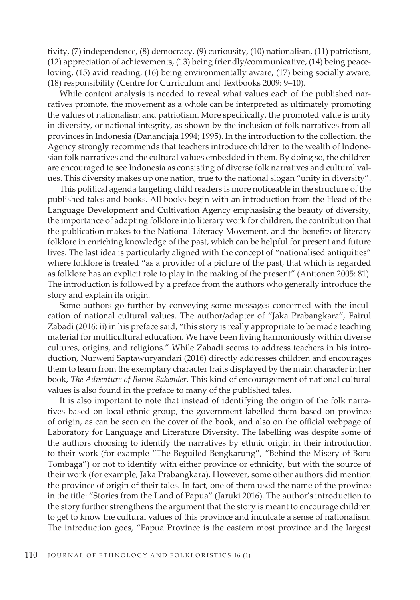tivity, (7) independence, (8) democracy, (9) curiousity, (10) nationalism, (11) patriotism, (12) appreciation of achievements, (13) being friendly/communicative, (14) being peaceloving, (15) avid reading, (16) being environmentally aware, (17) being socially aware, (18) responsibility (Centre for Curriculum and Textbooks 2009: 9–10).

While content analysis is needed to reveal what values each of the published narratives promote, the movement as a whole can be interpreted as ultimately promoting the values of nationalism and patriotism. More specifically, the promoted value is unity in diversity, or national integrity, as shown by the inclusion of folk narratives from all provinces in Indonesia (Danandjaja 1994; 1995). In the introduction to the collection, the Agency strongly recommends that teachers introduce children to the wealth of Indonesian folk narratives and the cultural values embedded in them. By doing so, the children are encouraged to see Indonesia as consisting of diverse folk narratives and cultural values. This diversity makes up one nation, true to the national slogan "unity in diversity".

This political agenda targeting child readers is more noticeable in the structure of the published tales and books. All books begin with an introduction from the Head of the Language Development and Cultivation Agency emphasising the beauty of diversity, the importance of adapting folklore into literary work for children, the contribution that the publication makes to the National Literacy Movement, and the benefits of literary folklore in enriching knowledge of the past, which can be helpful for present and future lives. The last idea is particularly aligned with the concept of "nationalised antiquities" where folklore is treated "as a provider of a picture of the past, that which is regarded as folklore has an explicit role to play in the making of the present" (Anttonen 2005: 81). The introduction is followed by a preface from the authors who generally introduce the story and explain its origin.

Some authors go further by conveying some messages concerned with the inculcation of national cultural values. The author/adapter of "Jaka Prabangkara", Fairul Zabadi (2016: ii) in his preface said, "this story is really appropriate to be made teaching material for multicultural education. We have been living harmoniously within diverse cultures, origins, and religions." While Zabadi seems to address teachers in his introduction, Nurweni Saptawuryandari (2016) directly addresses children and encourages them to learn from the exemplary character traits displayed by the main character in her book, *The Adventure of Baron Sakender*. This kind of encouragement of national cultural values is also found in the preface to many of the published tales.

It is also important to note that instead of identifying the origin of the folk narratives based on local ethnic group, the government labelled them based on province of origin, as can be seen on the cover of the book, and also on the official webpage of Laboratory for Language and Literature Diversity. The labelling was despite some of the authors choosing to identify the narratives by ethnic origin in their introduction to their work (for example "The Beguiled Bengkarung", "Behind the Misery of Boru Tombaga") or not to identify with either province or ethnicity, but with the source of their work (for example, Jaka Prabangkara). However, some other authors did mention the province of origin of their tales. In fact, one of them used the name of the province in the title: "Stories from the Land of Papua" (Jaruki 2016). The author's introduction to the story further strengthens the argument that the story is meant to encourage children to get to know the cultural values of this province and inculcate a sense of nationalism. The introduction goes, "Papua Province is the eastern most province and the largest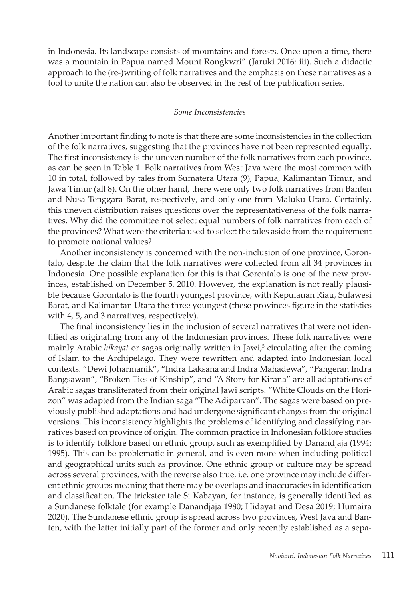in Indonesia. Its landscape consists of mountains and forests. Once upon a time, there was a mountain in Papua named Mount Rongkwri" (Jaruki 2016: iii). Such a didactic approach to the (re-)writing of folk narratives and the emphasis on these narratives as a tool to unite the nation can also be observed in the rest of the publication series.

#### *Some Inconsistencies*

Another important finding to note is that there are some inconsistencies in the collection of the folk narratives, suggesting that the provinces have not been represented equally. The first inconsistency is the uneven number of the folk narratives from each province, as can be seen in Table 1. Folk narratives from West Java were the most common with 10 in total, followed by tales from Sumatera Utara (9), Papua, Kalimantan Timur, and Jawa Timur (all 8). On the other hand, there were only two folk narratives from Banten and Nusa Tenggara Barat, respectively, and only one from Maluku Utara. Certainly, this uneven distribution raises questions over the representativeness of the folk narratives. Why did the committee not select equal numbers of folk narratives from each of the provinces? What were the criteria used to select the tales aside from the requirement to promote national values?

Another inconsistency is concerned with the non-inclusion of one province, Gorontalo, despite the claim that the folk narratives were collected from all 34 provinces in Indonesia. One possible explanation for this is that Gorontalo is one of the new provinces, established on December 5, 2010. However, the explanation is not really plausible because Gorontalo is the fourth youngest province, with Kepulauan Riau, Sulawesi Barat, and Kalimantan Utara the three youngest (these provinces figure in the statistics with 4, 5, and 3 narratives, respectively).

The final inconsistency lies in the inclusion of several narratives that were not identified as originating from any of the Indonesian provinces. These folk narratives were mainly Arabic *hikayat* or sagas originally written in Jawi,<sup>5</sup> circulating after the coming of Islam to the Archipelago. They were rewritten and adapted into Indonesian local contexts. "Dewi Joharmanik", "Indra Laksana and Indra Mahadewa", "Pangeran Indra Bangsawan", "Broken Ties of Kinship", and "A Story for Kirana" are all adaptations of Arabic sagas transliterated from their original Jawi scripts. "White Clouds on the Horizon" was adapted from the Indian saga "The Adiparvan". The sagas were based on previously published adaptations and had undergone significant changes from the original versions. This inconsistency highlights the problems of identifying and classifying narratives based on province of origin. The common practice in Indonesian folklore studies is to identify folklore based on ethnic group, such as exemplified by Danandjaja (1994; 1995). This can be problematic in general, and is even more when including political and geographical units such as province. One ethnic group or culture may be spread across several provinces, with the reverse also true, i.e. one province may include different ethnic groups meaning that there may be overlaps and inaccuracies in identification and classification. The trickster tale Si Kabayan, for instance, is generally identified as a Sundanese folktale (for example Danandjaja 1980; Hidayat and Desa 2019; Humaira 2020). The Sundanese ethnic group is spread across two provinces, West Java and Banten, with the latter initially part of the former and only recently established as a sepa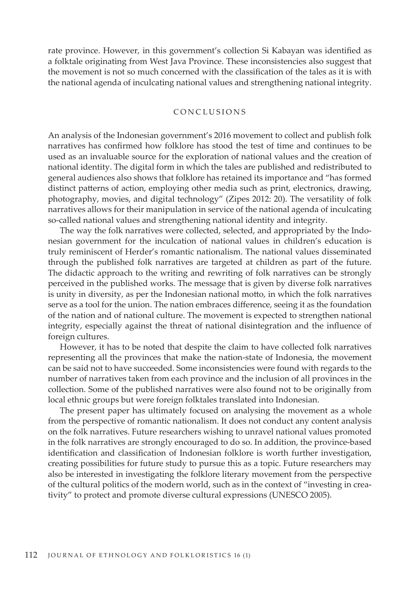rate province. However, in this government's collection Si Kabayan was identified as a folktale originating from West Java Province. These inconsistencies also suggest that the movement is not so much concerned with the classification of the tales as it is with the national agenda of inculcating national values and strengthening national integrity.

# CONCLUSIONS

An analysis of the Indonesian government's 2016 movement to collect and publish folk narratives has confirmed how folklore has stood the test of time and continues to be used as an invaluable source for the exploration of national values and the creation of national identity. The digital form in which the tales are published and redistributed to general audiences also shows that folklore has retained its importance and "has formed distinct patterns of action, employing other media such as print, electronics, drawing, photography, movies, and digital technology" (Zipes 2012: 20). The versatility of folk narratives allows for their manipulation in service of the national agenda of inculcating so-called national values and strengthening national identity and integrity.

The way the folk narratives were collected, selected, and appropriated by the Indonesian government for the inculcation of national values in children's education is truly reminiscent of Herder's romantic nationalism. The national values disseminated through the published folk narratives are targeted at children as part of the future. The didactic approach to the writing and rewriting of folk narratives can be strongly perceived in the published works. The message that is given by diverse folk narratives is unity in diversity, as per the Indonesian national motto, in which the folk narratives serve as a tool for the union. The nation embraces difference, seeing it as the foundation of the nation and of national culture. The movement is expected to strengthen national integrity, especially against the threat of national disintegration and the influence of foreign cultures.

However, it has to be noted that despite the claim to have collected folk narratives representing all the provinces that make the nation-state of Indonesia, the movement can be said not to have succeeded. Some inconsistencies were found with regards to the number of narratives taken from each province and the inclusion of all provinces in the collection. Some of the published narratives were also found not to be originally from local ethnic groups but were foreign folktales translated into Indonesian.

The present paper has ultimately focused on analysing the movement as a whole from the perspective of romantic nationalism. It does not conduct any content analysis on the folk narratives. Future researchers wishing to unravel national values promoted in the folk narratives are strongly encouraged to do so. In addition, the province-based identification and classification of Indonesian folklore is worth further investigation, creating possibilities for future study to pursue this as a topic. Future researchers may also be interested in investigating the folklore literary movement from the perspective of the cultural politics of the modern world, such as in the context of "investing in creativity" to protect and promote diverse cultural expressions (UNESCO 2005).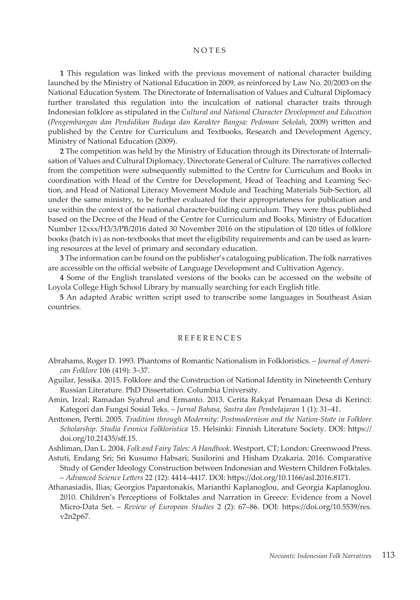#### NOTES

**1** This regulation was linked with the previous movement of national character building launched by the Ministry of National Education in 2009, as reinforced by Law No. 20/2003 on the National Education System. The Directorate of Internalisation of Values and Cultural Diplomacy further translated this regulation into the inculcation of national character traits through Indonesian folklore as stipulated in the *Cultural and National Character Development and Education*  (*Pengembangan dan Pendidikan Budaya dan Karakter Bangsa: Pedoman Sekolah*, 2009) written and published by the Centre for Curriculum and Textbooks, Research and Development Agency, Ministry of National Education (2009).

**2** The competition was held by the Ministry of Education through its Directorate of Internalisation of Values and Cultural Diplomacy, Directorate General of Culture. The narratives collected from the competition were subsequently submitted to the Centre for Curriculum and Books in coordination with Head of the Centre for Development, Head of Teaching and Learning Section, and Head of National Literacy Movement Module and Teaching Materials Sub-Section, all under the same ministry, to be further evaluated for their appropriateness for publication and use within the context of the national character-building curriculum. They were thus published based on the Decree of the Head of the Centre for Curriculum and Books, Ministry of Education Number 12xxx/H3/3/PB/2016 dated 30 November 2016 on the stipulation of 120 titles of folklore books (batch iv) as non-textbooks that meet the eligibility requirements and can be used as learning resources at the level of primary and secondary education.

**3** The information can be found on the publisher's cataloguing publication. The folk narratives are accessible on the official website of Language Development and Cultivation Agency.

**4** Some of the English translated versions of the books can be accessed on the website of Loyola College High School Library by manually searching for each English title.

**5** An adapted Arabic written script used to transcribe some languages in Southeast Asian countries.

# REFERENCES

- Aguilar, Jessika. 2015. Folklore and the Construction of National Identity in Nineteenth Century Russian Literature. PhD Dissertation. Columbia University.
- Amin, Irzal; Ramadan Syahrul and Ermanto. 2013. Cerita Rakyat Penamaan Desa di Kerinci: Kategori dan Fungsi Sosial Teks. – *Jurnal Bahasa, Sastra dan Pembelajaran* 1 (1): 31–41.
- Anttonen, Pertti. 2005. *Tradition through Modernity: Postmodernism and the Nation-State in Folklore Scholarship*. *Studia Fennica Folkloristica* 15. Helsinki: Finnish Literature Society. DOI: https:// doi.org/10.21435/sff.15.

Ashliman, Dan L. 2004. *Folk and Fairy Tales: A Handbook*. Westport, CT; London: Greenwood Press.

- Astuti, Endang Sri; Sri Kusumo Habsari; Susilorini and Hisham Dzakaria. 2016. Comparative Study of Gender Ideology Construction between Indonesian and Western Children Folktales. – *Advanced Science Letters* 22 (12): 4414–4417. DOI: https://doi.org/10.1166/asl.2016.8171.
- Athanasiadis, Ilias; Georgios Papantonakis, Marianthi Kaplanoglou, and Georgia Kaplanoglou. 2010. Children's Perceptions of Folktales and Narration in Greece: Evidence from a Novel Micro-Data Set. – *Review of European Studies* 2 (2): 67–86. DOI: https://doi.org/10.5539/res. v2n2p67.

Abrahams, Roger D. 1993. Phantoms of Romantic Nationalism in Folkloristics. – *Journal of American Folklore* 106 (419): 3–37.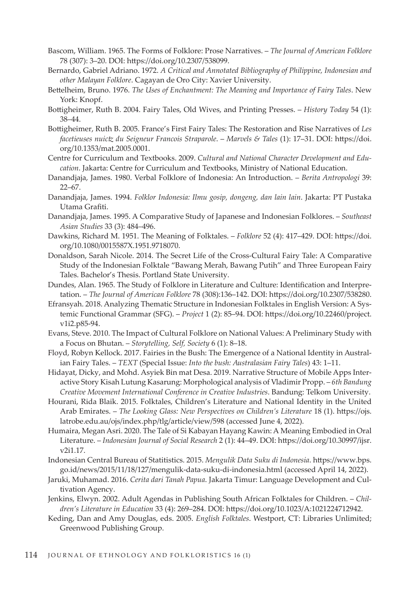- Bascom, William. 1965. The Forms of Folklore: Prose Narratives. *The Journal of American Folklore* 78 (307): 3–20. DOI: https://doi.org/10.2307/538099.
- Bernardo, Gabriel Adriano. 1972. *A Critical and Annotated Bibliography of Philippine, Indonesian and other Malayan Folklore*. Cagayan de Oro City: Xavier University.
- Bettelheim, Bruno. 1976. *The Uses of Enchantment: The Meaning and Importance of Fairy Tales*. New York: Knopf.
- Bottigheimer, Ruth B. 2004. Fairy Tales, Old Wives, and Printing Presses. *History Today* 54 (1): 38–44.
- Bottigheimer, Ruth B. 2005. France's First Fairy Tales: The Restoration and Rise Narratives of *Les facetieuses nuictz du Seigneur Francois Straparole*. – *Marvels & Tales* (1): 17–31. DOI: https://doi. org/10.1353/mat.2005.0001.
- Centre for Curriculum and Textbooks. 2009. *Cultural and National Character Development and Education*. Jakarta: Centre for Curriculum and Textbooks, Ministry of National Education.
- Danandjaja, James. 1980. Verbal Folklore of Indonesia: An Introduction. *Berita Antropologi* 39: 22–67.
- Danandjaja, James. 1994. *Folklor Indonesia: Ilmu gosip, dongeng, dan lain lain*. Jakarta: PT Pustaka Utama Grafiti.
- Danandjaja, James. 1995. A Comparative Study of Japanese and Indonesian Folklores. *Southeast Asian Studies* 33 (3): 484–496.
- Dawkins, Richard M. 1951. The Meaning of Folktales. *Folklore* 52 (4): 417–429. DOI: https://doi. org/10.1080/0015587X.1951.9718070.
- Donaldson, Sarah Nicole. 2014. The Secret Life of the Cross-Cultural Fairy Tale: A Comparative Study of the Indonesian Folktale "Bawang Merah, Bawang Putih" and Three European Fairy Tales. Bachelor's Thesis. Portland State University.
- Dundes, Alan. 1965. The Study of Folklore in Literature and Culture: Identification and Interpretation. – *The Journal of American Folklore* 78 (308):136–142. DOI: https://doi.org/10.2307/538280.
- Efransyah. 2018. Analyzing Thematic Structure in Indonesian Folktales in English Version: A Systemic Functional Grammar (SFG). – *Project* 1 (2): 85–94. DOI: https://doi.org/10.22460/project. v1i2.p85-94.
- Evans, Steve. 2010. The Impact of Cultural Folklore on National Values: A Preliminary Study with a Focus on Bhutan. – *Storytelling, Self, Society* 6 (1): 8–18.
- Floyd, Robyn Kellock. 2017. Fairies in the Bush: The Emergence of a National Identity in Australian Fairy Tales. – *TEXT* (Special Issue: *Into the bush: Australasian Fairy Tales*) 43: 1–11.
- Hidayat, Dicky, and Mohd. Asyiek Bin mat Desa. 2019. Narrative Structure of Mobile Apps Interactive Story Kisah Lutung Kasarung: Morphological analysis of Vladimir Propp. – *6th Bandung Creative Movement International Conference in Creative Industries*. Bandung: Telkom University.
- Hourani, Rida Blaik. 2015. Folktales, Children's Literature and National Identity in the United Arab Emirates. – *The Looking Glass: New Perspectives on Children's Literature* 18 (1). https://ojs. latrobe.edu.au/ojs/index.php/tlg/article/view/598 (accessed June 4, 2022).
- Humaira, Megan Asri. 2020. The Tale of Si Kabayan Hayang Kawin: A Meaning Embodied in Oral Literature. – *Indonesian Journal of Social Research* 2 (1): 44–49. DOI: https://doi.org/10.30997/ijsr. v2i1.17.
- Indonesian Central Bureau of Statitistics. 2015. *Mengulik Data Suku di Indonesia*. https://www.bps. go.id/news/2015/11/18/127/mengulik-data-suku-di-indonesia.html (accessed April 14, 2022).
- Jaruki, Muhamad. 2016. *Cerita dari Tanah Papua*. Jakarta Timur: Language Development and Cultivation Agency.
- Jenkins, Elwyn. 2002. Adult Agendas in Publishing South African Folktales for Children. *Children's Literature in Education* 33 (4): 269–284. DOI: https://doi.org/10.1023/A:1021224712942.
- Keding, Dan and Amy Douglas, eds. 2005. *English Folktales*. Westport, CT: Libraries Unlimited; Greenwood Publishing Group.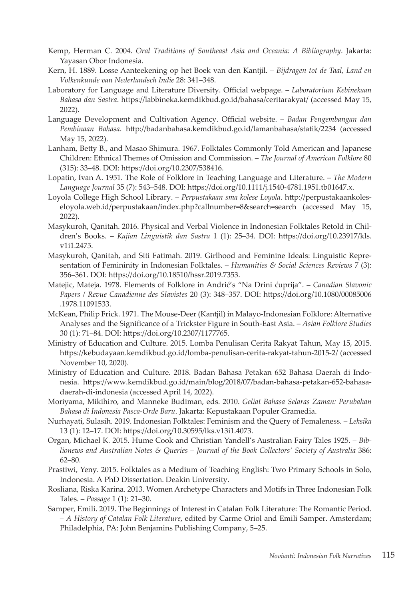- Kemp, Herman C. 2004. *Oral Traditions of Southeast Asia and Oceania: A Bibliography*. Jakarta: Yayasan Obor Indonesia.
- Kern, H. 1889. Losse Aanteekening op het Boek van den Kantjil. *Bijdragen tot de Taal, Land en Volkenkunde van Nederlandsch Indie* 28: 341–348.
- Laboratory for Language and Literature Diversity. Official webpage. *Laboratorium Kebinekaan Bahasa dan Sastra*. https://labbineka.kemdikbud.go.id/bahasa/ceritarakyat/ (accessed May 15, 2022).
- Language Development and Cultivation Agency. Official website. *Badan Pengembangan dan Pembinaan Bahasa*. http://badanbahasa.kemdikbud.go.id/lamanbahasa/statik/2234 (accessed May 15, 2022).
- Lanham, Betty B., and Masao Shimura. 1967. Folktales Commonly Told American and Japanese Children: Ethnical Themes of Omission and Commission. – *The Journal of American Folklore* 80 (315): 33–48. DOI: https://doi.org/10.2307/538416.
- Lopatin, Ivan A. 1951. The Role of Folklore in Teaching Language and Literature. *The Modern Language Journal* 35 (7): 543–548. DOI: https://doi.org/10.1111/j.1540-4781.1951.tb01647.x.
- Loyola College High School Library. *Perpustakaan sma kolese Loyola*. http://perpustakaankoleseloyola.web.id/perpustakaan/index.php?callnumber=8&search=search (accessed May 15, 2022).
- Masykuroh, Qanitah. 2016. Physical and Verbal Violence in Indonesian Folktales Retold in Children's Books. – *Kajian Linguistik dan Sastra* 1 (1): 25–34. DOI: https://doi.org/10.23917/kls. v1i1.2475.
- Masykuroh, Qanitah, and Siti Fatimah. 2019. Girlhood and Feminine Ideals: Linguistic Representation of Femininity in Indonesian Folktales. – *Humanities & Social Sciences Reviews* 7 (3): 356–361. DOI: https://doi.org/10.18510/hssr.2019.7353.
- Matejic, Mateja. 1978. Elements of Folklore in Andrić's "Na Drini ćuprija". *Canadian Slavonic Papers / Revue Canadienne des Slavistes* 20 (3): 348–357. DOI: https://doi.org/10.1080/00085006 .1978.11091533.
- McKean, Philip Frick. 1971. The Mouse-Deer (Kantjil) in Malayo-Indonesian Folklore: Alternative Analyses and the Significance of a Trickster Figure in South-East Asia. – *Asian Folklore Studies* 30 (1): 71–84. DOI: https://doi.org/10.2307/1177765.
- Ministry of Education and Culture. 2015. Lomba Penulisan Cerita Rakyat Tahun, May 15, 2015. https://kebudayaan.kemdikbud.go.id/lomba-penulisan-cerita-rakyat-tahun-2015-2/ (accessed November 10, 2020).
- Ministry of Education and Culture. 2018. Badan Bahasa Petakan 652 Bahasa Daerah di Indonesia. https://www.kemdikbud.go.id/main/blog/2018/07/badan-bahasa-petakan-652-bahasadaerah-di-indonesia (accessed April 14, 2022).
- Moriyama, Mikihiro, and Manneke Budiman, eds. 2010. *Geliat Bahasa Selaras Zaman: Perubahan Bahasa di Indonesia Pasca-Orde Baru*. Jakarta: Kepustakaan Populer Gramedia.
- Nurhayati, Sulasih. 2019. Indonesian Folktales: Feminism and the Query of Femaleness. *Leksika* 13 (1): 12–17. DOI: https://doi.org/10.30595/lks.v13i1.4073.
- Organ, Michael K. 2015. Hume Cook and Christian Yandell's Australian Fairy Tales 1925. *Biblionews and Australian Notes & Queries* – *Journal of the Book Collectors' Society of Australia* 386: 62–80.
- Prastiwi, Yeny. 2015. Folktales as a Medium of Teaching English: Two Primary Schools in Solo, Indonesia. A PhD Dissertation. Deakin University.
- Rosliana, Riska Karina. 2013. Women Archetype Characters and Motifs in Three Indonesian Folk Tales. – *Passage* 1 (1): 21–30.
- Samper, Emili. 2019. The Beginnings of Interest in Catalan Folk Literature: The Romantic Period. – *A History of Catalan Folk Literature*, edited by Carme Oriol and Emili Samper. Amsterdam; Philadelphia, PA: John Benjamins Publishing Company, 5–25.